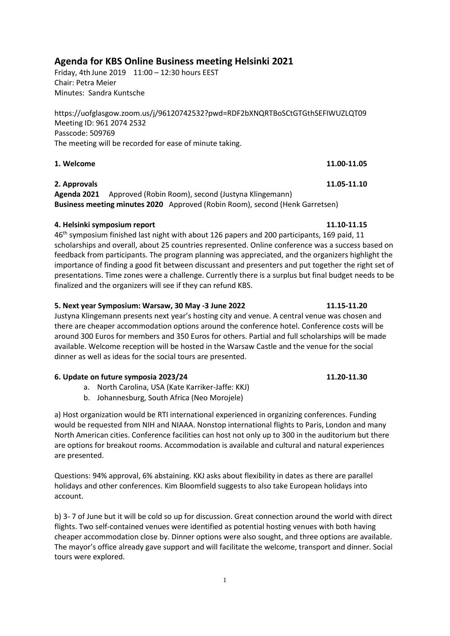# **Agenda for KBS Online Business meeting Helsinki 2021**

Friday, 4th June 2019 11:00 – 12:30 hours EEST Chair: Petra Meier Minutes: Sandra Kuntsche

https://uofglasgow.zoom.us/j/96120742532?pwd=RDF2bXNQRTBoSCtGTGthSEFIWUZLQT09 Meeting ID: 961 2074 2532 Passcode: 509769 The meeting will be recorded for ease of minute taking.

**1. Welcome 11.00-11.05**

## **2. Approvals 11.05-11.10**

**Agenda 2021** Approved (Robin Room), second (Justyna Klingemann) **Business meeting minutes 2020** Approved (Robin Room), second (Henk Garretsen)

### **4. Helsinki symposium report 11.10-11.15**

46th symposium finished last night with about 126 papers and 200 participants, 169 paid, 11 scholarships and overall, about 25 countries represented. Online conference was a success based on feedback from participants. The program planning was appreciated, and the organizers highlight the importance of finding a good fit between discussant and presenters and put together the right set of presentations. Time zones were a challenge. Currently there is a surplus but final budget needs to be finalized and the organizers will see if they can refund KBS.

### **5. Next year Symposium: Warsaw, 30 May -3 June 2022 11.15-11.20**

Justyna Klingemann presents next year's hosting city and venue. A central venue was chosen and there are cheaper accommodation options around the conference hotel. Conference costs will be around 300 Euros for members and 350 Euros for others. Partial and full scholarships will be made available. Welcome reception will be hosted in the Warsaw Castle and the venue for the social dinner as well as ideas for the social tours are presented.

#### **6. Update on future symposia 2023/24 11.20-11.30**

- a. North Carolina, USA (Kate Karriker-Jaffe: KKJ)
- b. Johannesburg, South Africa (Neo Morojele)

a) Host organization would be RTI international experienced in organizing conferences. Funding would be requested from NIH and NIAAA. Nonstop international flights to Paris, London and many North American cities. Conference facilities can host not only up to 300 in the auditorium but there are options for breakout rooms. Accommodation is available and cultural and natural experiences are presented.

Questions: 94% approval, 6% abstaining. KKJ asks about flexibility in dates as there are parallel holidays and other conferences. Kim Bloomfield suggests to also take European holidays into account.

b) 3- 7 of June but it will be cold so up for discussion. Great connection around the world with direct flights. Two self-contained venues were identified as potential hosting venues with both having cheaper accommodation close by. Dinner options were also sought, and three options are available. The mayor's office already gave support and will facilitate the welcome, transport and dinner. Social tours were explored.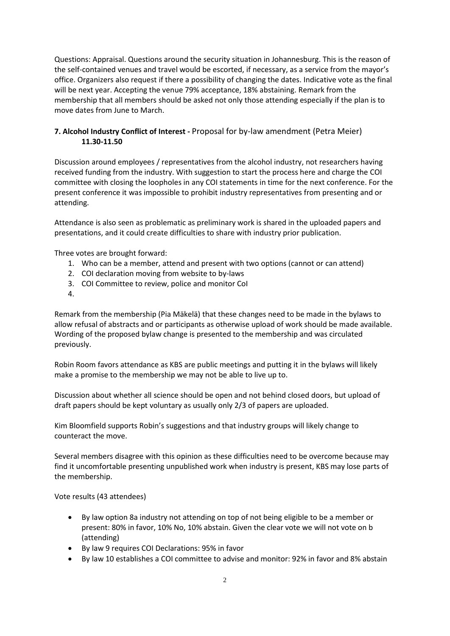Questions: Appraisal. Questions around the security situation in Johannesburg. This is the reason of the self-contained venues and travel would be escorted, if necessary, as a service from the mayor's office. Organizers also request if there a possibility of changing the dates. Indicative vote as the final will be next year. Accepting the venue 79% acceptance, 18% abstaining. Remark from the membership that all members should be asked not only those attending especially if the plan is to move dates from June to March.

## **7. Alcohol Industry Conflict of Interest -** Proposal for by-law amendment (Petra Meier) **11.30-11.50**

Discussion around employees / representatives from the alcohol industry, not researchers having received funding from the industry. With suggestion to start the process here and charge the COI committee with closing the loopholes in any COI statements in time for the next conference. For the present conference it was impossible to prohibit industry representatives from presenting and or attending.

Attendance is also seen as problematic as preliminary work is shared in the uploaded papers and presentations, and it could create difficulties to share with industry prior publication.

Three votes are brought forward:

- 1. Who can be a member, attend and present with two options (cannot or can attend)
- 2. COI declaration moving from website to by-laws
- 3. COI Committee to review, police and monitor CoI
- 4.

Remark from the membership (Pia Mäkelä) that these changes need to be made in the bylaws to allow refusal of abstracts and or participants as otherwise upload of work should be made available. Wording of the proposed bylaw change is presented to the membership and was circulated previously.

Robin Room favors attendance as KBS are public meetings and putting it in the bylaws will likely make a promise to the membership we may not be able to live up to.

Discussion about whether all science should be open and not behind closed doors, but upload of draft papers should be kept voluntary as usually only 2/3 of papers are uploaded.

Kim Bloomfield supports Robin's suggestions and that industry groups will likely change to counteract the move.

Several members disagree with this opinion as these difficulties need to be overcome because may find it uncomfortable presenting unpublished work when industry is present, KBS may lose parts of the membership.

Vote results (43 attendees)

- By law option 8a industry not attending on top of not being eligible to be a member or present: 80% in favor, 10% No, 10% abstain. Given the clear vote we will not vote on b (attending)
- By law 9 requires COI Declarations: 95% in favor
- By law 10 establishes a COI committee to advise and monitor: 92% in favor and 8% abstain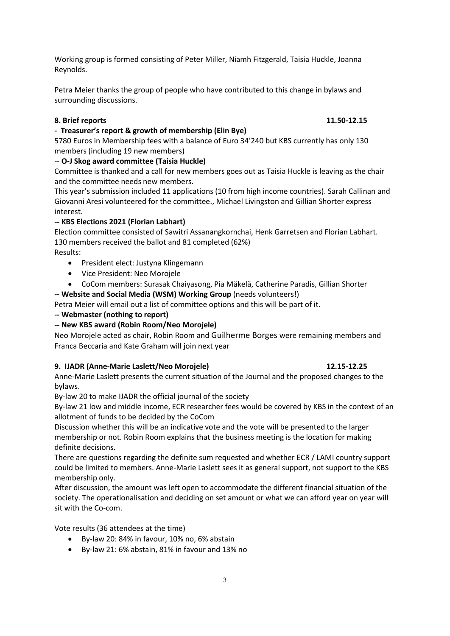Working group is formed consisting of Peter Miller, Niamh Fitzgerald, Taisia Huckle, Joanna Reynolds.

Petra Meier thanks the group of people who have contributed to this change in bylaws and surrounding discussions.

## **8. Brief reports 11.50-12.15**

## **- Treasurer's report & growth of membership (Elin Bye)**

5780 Euros in Membership fees with a balance of Euro 34'240 but KBS currently has only 130 members (including 19 new members)

## -- **O-J Skog award committee (Taisia Huckle)**

Committee is thanked and a call for new members goes out as Taisia Huckle is leaving as the chair and the committee needs new members.

This year's submission included 11 applications (10 from high income countries). Sarah Callinan and Giovanni Aresi volunteered for the committee., Michael Livingston and Gillian Shorter express interest.

## **-- KBS Elections 2021 (Florian Labhart)**

Election committee consisted of Sawitri Assanangkornchai, Henk Garretsen and Florian Labhart. 130 members received the ballot and 81 completed (62%) Results:

- President elect: Justyna Klingemann
- Vice President: Neo Morojele
- CoCom members: Surasak Chaiyasong, Pia Mäkelä, Catherine Paradis, Gillian Shorter

**-- Website and Social Media (WSM) Working Group** (needs volunteers!)

Petra Meier will email out a list of committee options and this will be part of it.

**-- Webmaster (nothing to report)**

### **-- New KBS award (Robin Room/Neo Morojele)**

Neo Morojele acted as chair, Robin Room and Guilherme Borges were remaining members and Franca Beccaria and Kate Graham will join next year

### **9. IJADR (Anne-Marie Laslett/Neo Morojele) 12.15-12.25**

Anne-Marie Laslett presents the current situation of the Journal and the proposed changes to the bylaws.

By-law 20 to make IJADR the official journal of the society

By-law 21 low and middle income, ECR researcher fees would be covered by KBS in the context of an allotment of funds to be decided by the CoCom

Discussion whether this will be an indicative vote and the vote will be presented to the larger membership or not. Robin Room explains that the business meeting is the location for making definite decisions.

There are questions regarding the definite sum requested and whether ECR / LAMI country support could be limited to members. Anne-Marie Laslett sees it as general support, not support to the KBS membership only.

After discussion, the amount was left open to accommodate the different financial situation of the society. The operationalisation and deciding on set amount or what we can afford year on year will sit with the Co-com.

Vote results (36 attendees at the time)

- By-law 20: 84% in favour, 10% no, 6% abstain
- By-law 21: 6% abstain, 81% in favour and 13% no